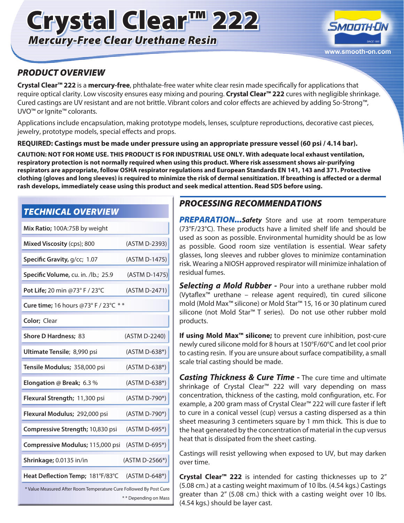# Crystal Clear™ 222 *Mercury-Free Clear Urethane Resin*



## *PRODUCT OVERVIEW*

**Crystal Clear™ 222** is a **mercury-free**, phthalate-free water white clear resin made specifically for applications that require optical clarity. Low viscosity ensures easy mixing and pouring. **Crystal Clear™ 222** cures with negligible shrinkage. Cured castings are UV resistant and are not brittle. Vibrant colors and color effects are achieved by adding So-Strong™, UVO™ or Ignite™ colorants.

Applications include encapsulation, making prototype models, lenses, sculpture reproductions, decorative cast pieces, jewelry, prototype models, special effects and props.

**REQUIRED: Castings must be made under pressure using an appropriate pressure vessel (60 psi / 4.14 bar).**

**CAUTION: NOT FOR HOME USE. THIS PRODUCT IS FOR INDUSTRIAL USE ONLY. With adequate local exhaust ventilation, respiratory protection is not normally required when using this product. Where risk assessment shows air-purifying respirators are appropriate, follow OSHA respirator regulations and European Standards EN 141, 143 and 371. Protective clothing (gloves and long sleeves) is required to minimize the risk of dermal sensitization. If breathing is affected or a dermal rash develops, immediately cease using this product and seek medical attention. Read SDS before using.**

## *TECHNICAL OVERVIEW*

| Mix Ratio; 100A:75B by weight                                                              |                |
|--------------------------------------------------------------------------------------------|----------------|
| Mixed Viscosity (cps); 800                                                                 | (ASTM D-2393)  |
| Specific Gravity, g/cc; 1.07                                                               | (ASTM D-1475)  |
| Specific Volume, cu. in. /lb.; 25.9                                                        | (ASTM D-1475)  |
| Pot Life; 20 min @73° F / 23°C                                                             | (ASTM D-2471)  |
| Cure time; 16 hours @73° F / 23°C **                                                       |                |
| Color: Clear                                                                               |                |
| <b>Shore D Hardness; 83</b>                                                                | (ASTM D-2240)  |
| Ultimate Tensile; 8,990 psi                                                                | (ASTM D-638*)  |
| Tensile Modulus; 358,000 psi                                                               | (ASTM D-638*)  |
| Elongation @ Break; 6.3 %                                                                  | (ASTM D-638*)  |
| Flexural Strength; 11,300 psi                                                              | (ASTM D-790*)  |
| Flexural Modulus; 292,000 psi                                                              | (ASTM D-790*)  |
| Compressive Strength; 10,830 psi                                                           | (ASTM D-695*)  |
| Compressive Modulus; 115,000 psi                                                           | (ASTM D-695*)  |
| Shrinkage; 0.0135 in/in                                                                    | (ASTM D-2566*) |
| Heat Deflection Temp; 181°F/83°C                                                           | (ASTM D-648*)  |
| * Value Measured After Room Temperature Cure Followed By Post Cure<br>** Depending on Mass |                |

### *PROCESSING RECOMMENDATIONS*

**PREPARATION...**Safety Store and use at room temperature (73°F/23°C). These products have a limited shelf life and should be used as soon as possible. Environmental humidity should be as low as possible. Good room size ventilation is essential. Wear safety glasses, long sleeves and rubber gloves to minimize contamination risk. Wearing a NIOSH approved respirator will minimize inhalation of residual fumes.

*Selecting a Mold Rubber -* Pour into a urethane rubber mold (Vytaflex™ urethane – release agent required), tin cured silicone mold (Mold Max™ silicone) or Mold Star™ 15, 16 or 30 platinum cured silicone (not Mold Star™ T series). Do not use other rubber mold products.

**If using Mold Max™ silicone;** to prevent cure inhibition, post-cure newly cured silicone mold for 8 hours at 150°F/60°C and let cool prior to casting resin. If you are unsure about surface compatibility, a small scale trial casting should be made.

*Casting Thickness & Cure Time -* The cure time and ultimate shrinkage of Crystal Clear™ 222 will vary depending on mass concentration, thickness of the casting, mold configuration, etc. For example, a 200 gram mass of Crystal Clear™ 222 will cure faster if left to cure in a conical vessel (cup) versus a casting dispersed as a thin sheet measuring 3 centimeters square by 1 mm thick. This is due to the heat generated by the concentration of material in the cup versus heat that is dissipated from the sheet casting.

Castings will resist yellowing when exposed to UV, but may darken over time.

**Crystal Clear™ 222** is intended for casting thicknesses up to 2" (5.08 cm.) at a casting weight maximum of 10 lbs. (4.54 kgs.) Castings greater than 2" (5.08 cm.) thick with a casting weight over 10 lbs. (4.54 kgs.) should be layer cast.